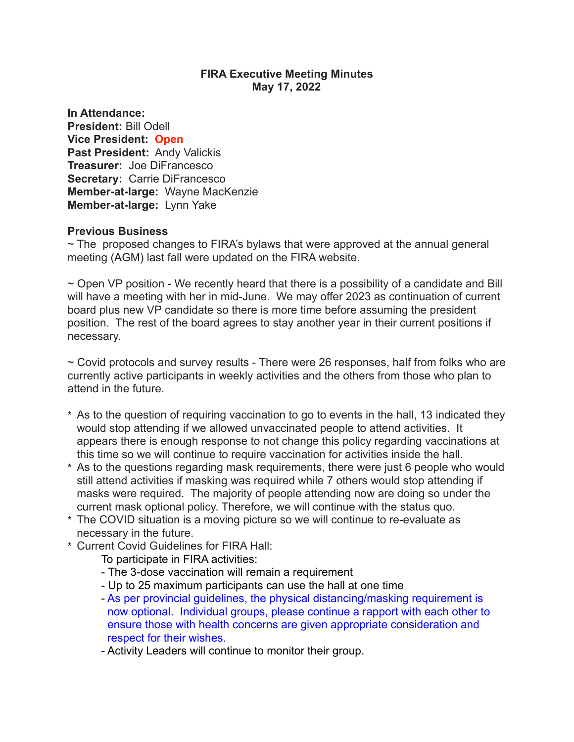### **FIRA Executive Meeting Minutes May 17, 2022**

**In Attendance: President:** Bill Odell **Vice President: Open Past President:** Andy Valickis **Treasurer:** Joe DiFrancesco **Secretary:** Carrie DiFrancesco **Member-at-large:** Wayne MacKenzie **Member-at-large:** Lynn Yake

### **Previous Business**

 $\sim$  The proposed changes to FIRA's bylaws that were approved at the annual general meeting (AGM) last fall were updated on the FIRA website.

~ Open VP position - We recently heard that there is a possibility of a candidate and Bill will have a meeting with her in mid-June. We may offer 2023 as continuation of current board plus new VP candidate so there is more time before assuming the president position. The rest of the board agrees to stay another year in their current positions if necessary.

~ Covid protocols and survey results - There were 26 responses, half from folks who are currently active participants in weekly activities and the others from those who plan to attend in the future.

- \* As to the question of requiring vaccination to go to events in the hall, 13 indicated they would stop attending if we allowed unvaccinated people to attend activities. It appears there is enough response to not change this policy regarding vaccinations at this time so we will continue to require vaccination for activities inside the hall.
- \* As to the questions regarding mask requirements, there were just 6 people who would still attend activities if masking was required while 7 others would stop attending if masks were required. The majority of people attending now are doing so under the current mask optional policy. Therefore, we will continue with the status quo.
- \* The COVID situation is a moving picture so we will continue to re-evaluate as necessary in the future.
- \* Current Covid Guidelines for FIRA Hall:

To participate in FIRA activities:

- The 3-dose vaccination will remain a requirement
- Up to 25 maximum participants can use the hall at one time
- As per provincial guidelines, the physical distancing/masking requirement is now optional. Individual groups, please continue a rapport with each other to ensure those with health concerns are given appropriate consideration and respect for their wishes.

- Activity Leaders will continue to monitor their group.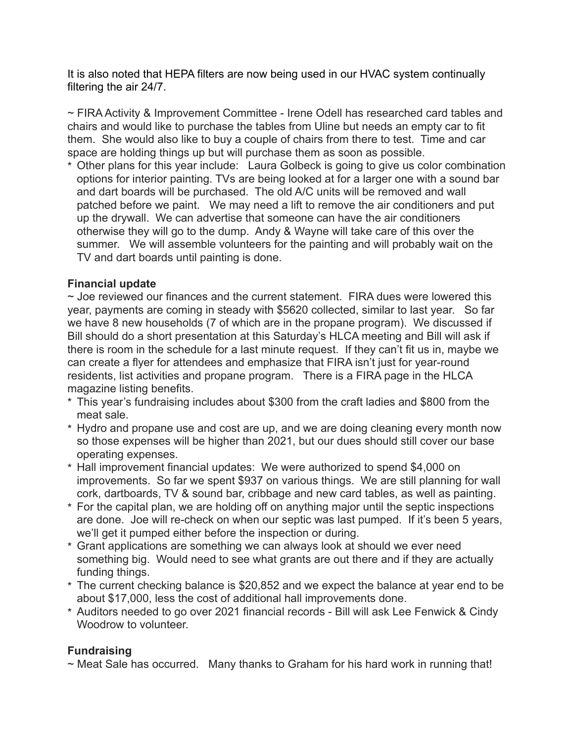It is also noted that HEPA filters are now being used in our HVAC system continually filtering the air 24/7.

~ FIRA Activity & Improvement Committee - Irene Odell has researched card tables and chairs and would like to purchase the tables from Uline but needs an empty car to fit them. She would also like to buy a couple of chairs from there to test. Time and car space are holding things up but will purchase them as soon as possible.

\* Other plans for this year include: Laura Golbeck is going to give us color combination options for interior painting. TVs are being looked at for a larger one with a sound bar and dart boards will be purchased. The old A/C units will be removed and wall patched before we paint. We may need a lift to remove the air conditioners and put up the drywall. We can advertise that someone can have the air conditioners otherwise they will go to the dump. Andy & Wayne will take care of this over the summer. We will assemble volunteers for the painting and will probably wait on the TV and dart boards until painting is done.

# **Financial update**

 $\sim$  Joe reviewed our finances and the current statement. FIRA dues were lowered this year, payments are coming in steady with \$5620 collected, similar to last year. So far we have 8 new households (7 of which are in the propane program). We discussed if Bill should do a short presentation at this Saturday's HLCA meeting and Bill will ask if there is room in the schedule for a last minute request. If they can't fit us in, maybe we can create a flyer for attendees and emphasize that FIRA isn't just for year-round residents, list activities and propane program. There is a FIRA page in the HLCA magazine listing benefits.

- \* This year's fundraising includes about \$300 from the craft ladies and \$800 from the meat sale.
- \* Hydro and propane use and cost are up, and we are doing cleaning every month now so those expenses will be higher than 2021, but our dues should still cover our base operating expenses.
- \* Hall improvement financial updates: We were authorized to spend \$4,000 on improvements. So far we spent \$937 on various things. We are still planning for wall cork, dartboards, TV & sound bar, cribbage and new card tables, as well as painting.
- \* For the capital plan, we are holding off on anything major until the septic inspections are done. Joe will re-check on when our septic was last pumped. If it's been 5 years, we'll get it pumped either before the inspection or during.
- \* Grant applications are something we can always look at should we ever need something big. Would need to see what grants are out there and if they are actually funding things.
- \* The current checking balance is \$20,852 and we expect the balance at year end to be about \$17,000, less the cost of additional hall improvements done.
- \* Auditors needed to go over 2021 financial records Bill will ask Lee Fenwick & Cindy Woodrow to volunteer.

# **Fundraising**

~ Meat Sale has occurred. Many thanks to Graham for his hard work in running that!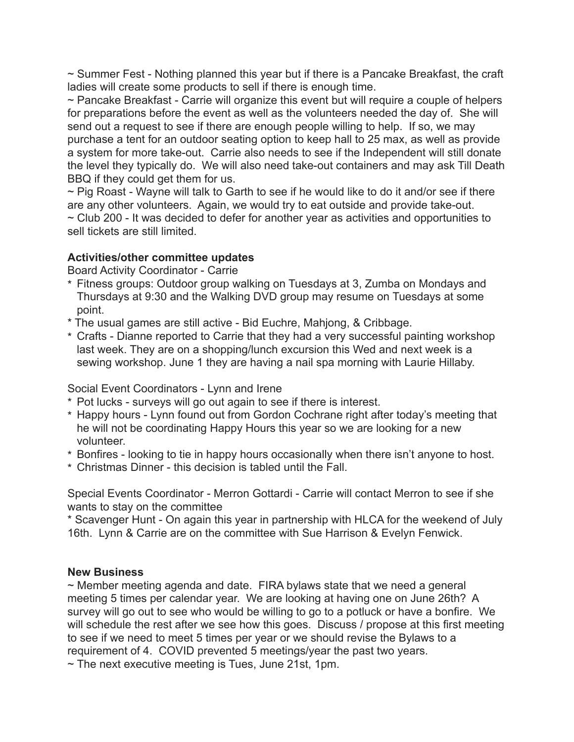~ Summer Fest - Nothing planned this year but if there is a Pancake Breakfast, the craft ladies will create some products to sell if there is enough time.

~ Pancake Breakfast - Carrie will organize this event but will require a couple of helpers for preparations before the event as well as the volunteers needed the day of. She will send out a request to see if there are enough people willing to help. If so, we may purchase a tent for an outdoor seating option to keep hall to 25 max, as well as provide a system for more take-out. Carrie also needs to see if the Independent will still donate the level they typically do. We will also need take-out containers and may ask Till Death BBQ if they could get them for us.

~ Pig Roast - Wayne will talk to Garth to see if he would like to do it and/or see if there are any other volunteers. Again, we would try to eat outside and provide take-out. ~ Club 200 - It was decided to defer for another year as activities and opportunities to sell tickets are still limited.

# **Activities/other committee updates**

Board Activity Coordinator - Carrie

- \* Fitness groups: Outdoor group walking on Tuesdays at 3, Zumba on Mondays and Thursdays at 9:30 and the Walking DVD group may resume on Tuesdays at some point.
- \* The usual games are still active Bid Euchre, Mahjong, & Cribbage.
- \* Crafts Dianne reported to Carrie that they had a very successful painting workshop last week. They are on a shopping/lunch excursion this Wed and next week is a sewing workshop. June 1 they are having a nail spa morning with Laurie Hillaby.

Social Event Coordinators - Lynn and Irene

- \* Pot lucks surveys will go out again to see if there is interest.
- \* Happy hours Lynn found out from Gordon Cochrane right after today's meeting that he will not be coordinating Happy Hours this year so we are looking for a new volunteer.
- \* Bonfires looking to tie in happy hours occasionally when there isn't anyone to host.
- \* Christmas Dinner this decision is tabled until the Fall.

Special Events Coordinator - Merron Gottardi - Carrie will contact Merron to see if she wants to stay on the committee

\* Scavenger Hunt - On again this year in partnership with HLCA for the weekend of July 16th. Lynn & Carrie are on the committee with Sue Harrison & Evelyn Fenwick.

# **New Business**

~ Member meeting agenda and date. FIRA bylaws state that we need a general meeting 5 times per calendar year. We are looking at having one on June 26th? A survey will go out to see who would be willing to go to a potluck or have a bonfire. We will schedule the rest after we see how this goes. Discuss / propose at this first meeting to see if we need to meet 5 times per year or we should revise the Bylaws to a requirement of 4. COVID prevented 5 meetings/year the past two years.

 $\sim$  The next executive meeting is Tues, June 21st, 1pm.